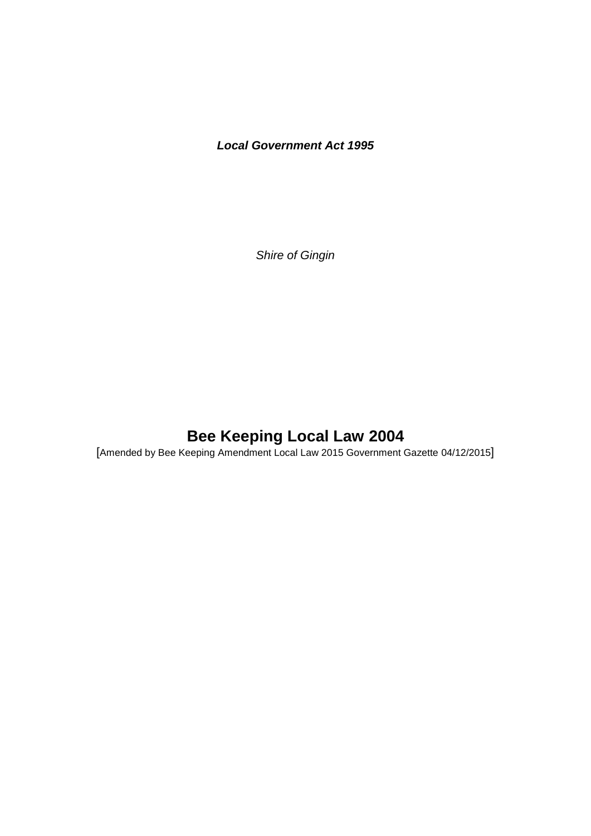# *Local Government Act 1995*

*Shire of Gingin*

# **Bee Keeping Local Law 2004**

[Amended by Bee Keeping Amendment Local Law 2015 Government Gazette 04/12/2015]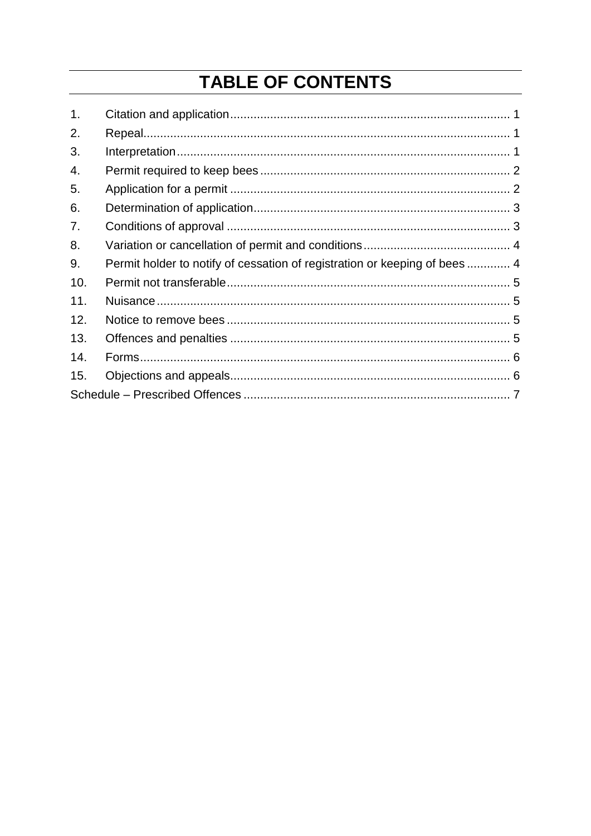# **TABLE OF CONTENTS**

| 1.  |                                                                            |  |
|-----|----------------------------------------------------------------------------|--|
| 2.  |                                                                            |  |
| 3.  |                                                                            |  |
| 4.  |                                                                            |  |
| 5.  |                                                                            |  |
| 6.  |                                                                            |  |
| 7.  |                                                                            |  |
| 8.  |                                                                            |  |
| 9.  | Permit holder to notify of cessation of registration or keeping of bees  4 |  |
| 10. |                                                                            |  |
| 11. |                                                                            |  |
| 12. |                                                                            |  |
| 13. |                                                                            |  |
| 14. |                                                                            |  |
| 15. |                                                                            |  |
|     |                                                                            |  |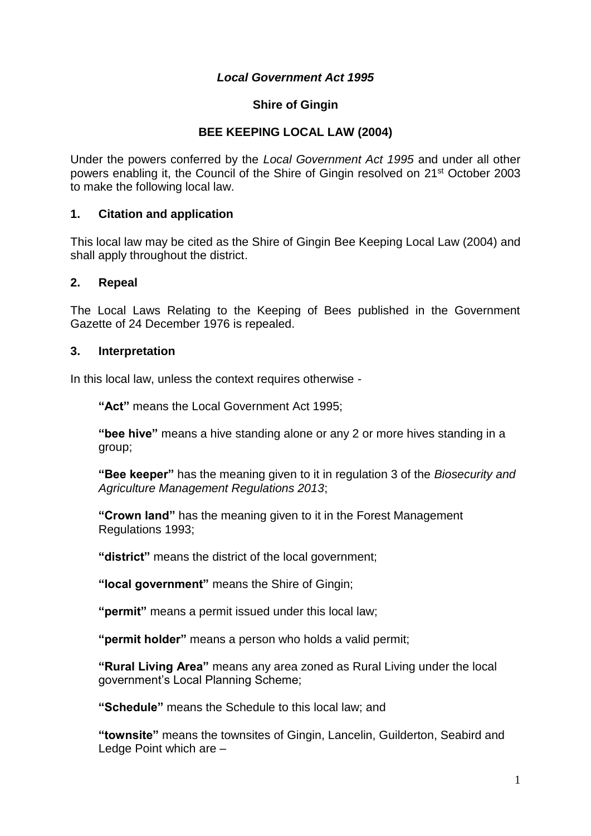#### *Local Government Act 1995*

#### **Shire of Gingin**

#### **BEE KEEPING LOCAL LAW (2004)**

Under the powers conferred by the *Local Government Act 1995* and under all other powers enabling it, the Council of the Shire of Gingin resolved on 21st October 2003 to make the following local law.

#### <span id="page-2-0"></span>**1. Citation and application**

This local law may be cited as the Shire of Gingin Bee Keeping Local Law (2004) and shall apply throughout the district.

#### <span id="page-2-1"></span>**2. Repeal**

The Local Laws Relating to the Keeping of Bees published in the Government Gazette of 24 December 1976 is repealed.

#### <span id="page-2-2"></span>**3. Interpretation**

In this local law, unless the context requires otherwise -

**"Act"** means the Local Government Act 1995;

**"bee hive"** means a hive standing alone or any 2 or more hives standing in a group;

**"Bee keeper"** has the meaning given to it in regulation 3 of the *Biosecurity and Agriculture Management Regulations 2013*;

**"Crown land"** has the meaning given to it in the Forest Management Regulations 1993;

**"district"** means the district of the local government;

**"local government"** means the Shire of Gingin;

**"permit"** means a permit issued under this local law;

**"permit holder"** means a person who holds a valid permit;

**"Rural Living Area"** means any area zoned as Rural Living under the local government's Local Planning Scheme;

**"Schedule"** means the Schedule to this local law; and

**"townsite"** means the townsites of Gingin, Lancelin, Guilderton, Seabird and Ledge Point which are –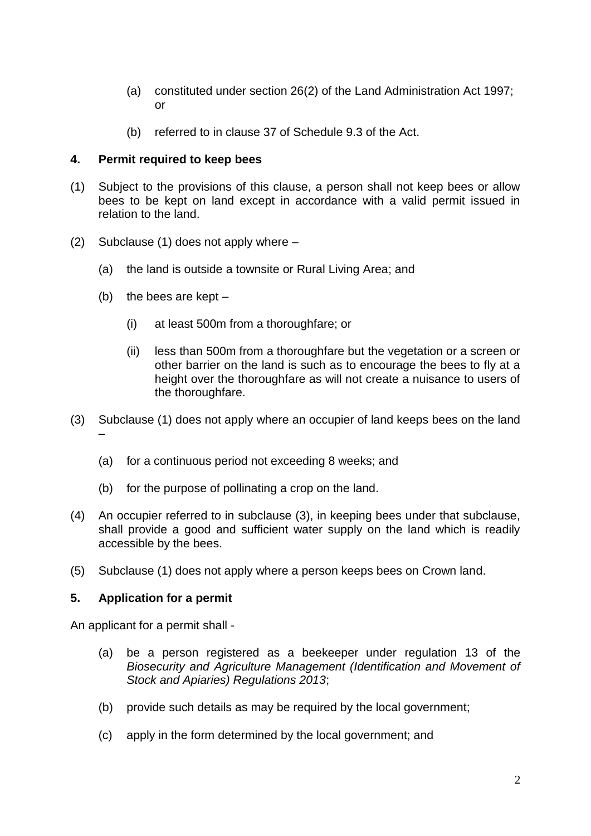- (a) constituted under section 26(2) of the Land Administration Act 1997; or
- (b) referred to in clause 37 of Schedule 9.3 of the Act.

#### <span id="page-3-0"></span>**4. Permit required to keep bees**

- (1) Subject to the provisions of this clause, a person shall not keep bees or allow bees to be kept on land except in accordance with a valid permit issued in relation to the land.
- (2) Subclause (1) does not apply where
	- (a) the land is outside a townsite or Rural Living Area; and
	- (b) the bees are kept
		- (i) at least 500m from a thoroughfare; or
		- (ii) less than 500m from a thoroughfare but the vegetation or a screen or other barrier on the land is such as to encourage the bees to fly at a height over the thoroughfare as will not create a nuisance to users of the thoroughfare.
- (3) Subclause (1) does not apply where an occupier of land keeps bees on the land
	- (a) for a continuous period not exceeding 8 weeks; and
	- (b) for the purpose of pollinating a crop on the land.
- (4) An occupier referred to in subclause (3), in keeping bees under that subclause, shall provide a good and sufficient water supply on the land which is readily accessible by the bees.
- (5) Subclause (1) does not apply where a person keeps bees on Crown land.

#### <span id="page-3-1"></span>**5. Application for a permit**

–

An applicant for a permit shall -

- (a) be a person registered as a beekeeper under regulation 13 of the *Biosecurity and Agriculture Management (Identification and Movement of Stock and Apiaries) Regulations 2013*;
- (b) provide such details as may be required by the local government;
- (c) apply in the form determined by the local government; and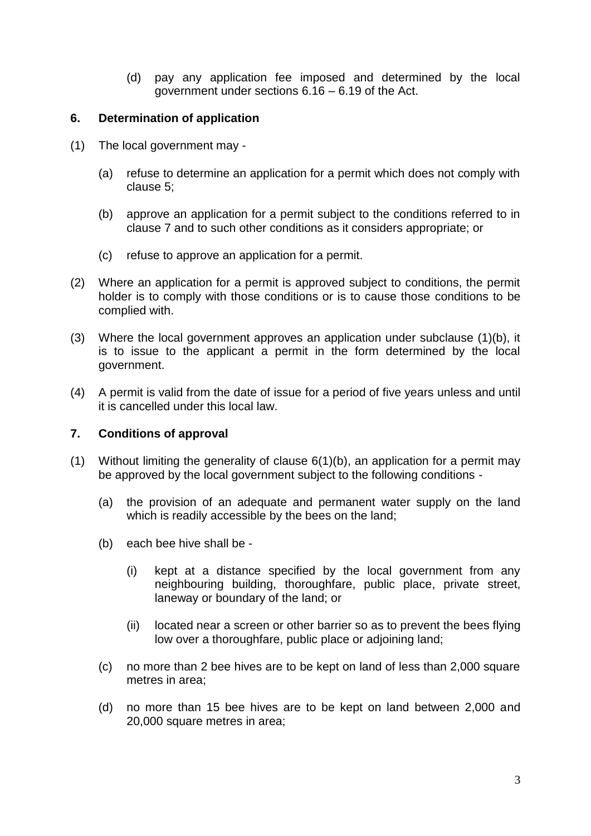(d) pay any application fee imposed and determined by the local government under sections 6.16 – 6.19 of the Act.

#### <span id="page-4-0"></span>**6. Determination of application**

- (1) The local government may
	- (a) refuse to determine an application for a permit which does not comply with clause 5;
	- (b) approve an application for a permit subject to the conditions referred to in clause 7 and to such other conditions as it considers appropriate; or
	- (c) refuse to approve an application for a permit.
- (2) Where an application for a permit is approved subject to conditions, the permit holder is to comply with those conditions or is to cause those conditions to be complied with.
- (3) Where the local government approves an application under subclause (1)(b), it is to issue to the applicant a permit in the form determined by the local government.
- (4) A permit is valid from the date of issue for a period of five years unless and until it is cancelled under this local law.

# <span id="page-4-1"></span>**7. Conditions of approval**

- (1) Without limiting the generality of clause 6(1)(b), an application for a permit may be approved by the local government subject to the following conditions -
	- (a) the provision of an adequate and permanent water supply on the land which is readily accessible by the bees on the land;
	- (b) each bee hive shall be
		- (i) kept at a distance specified by the local government from any neighbouring building, thoroughfare, public place, private street, laneway or boundary of the land; or
		- (ii) located near a screen or other barrier so as to prevent the bees flying low over a thoroughfare, public place or adjoining land;
	- (c) no more than 2 bee hives are to be kept on land of less than 2,000 square metres in area;
	- (d) no more than 15 bee hives are to be kept on land between 2,000 and 20,000 square metres in area;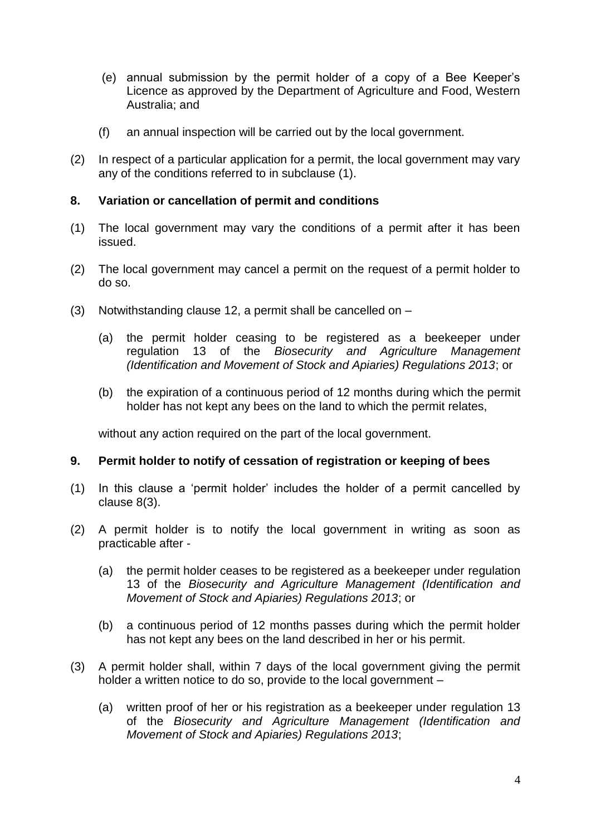- (e) annual submission by the permit holder of a copy of a Bee Keeper's Licence as approved by the Department of Agriculture and Food, Western Australia; and
- (f) an annual inspection will be carried out by the local government.
- (2) In respect of a particular application for a permit, the local government may vary any of the conditions referred to in subclause (1).

### <span id="page-5-0"></span>**8. Variation or cancellation of permit and conditions**

- (1) The local government may vary the conditions of a permit after it has been issued.
- (2) The local government may cancel a permit on the request of a permit holder to do so.
- (3) Notwithstanding clause 12, a permit shall be cancelled on
	- (a) the permit holder ceasing to be registered as a beekeeper under regulation 13 of the *Biosecurity and Agriculture Management (Identification and Movement of Stock and Apiaries) Regulations 2013*; or
	- (b) the expiration of a continuous period of 12 months during which the permit holder has not kept any bees on the land to which the permit relates,

without any action required on the part of the local government.

# <span id="page-5-1"></span>**9. Permit holder to notify of cessation of registration or keeping of bees**

- (1) In this clause a 'permit holder' includes the holder of a permit cancelled by clause 8(3).
- (2) A permit holder is to notify the local government in writing as soon as practicable after -
	- (a) the permit holder ceases to be registered as a beekeeper under regulation 13 of the *Biosecurity and Agriculture Management (Identification and Movement of Stock and Apiaries) Regulations 2013*; or
	- (b) a continuous period of 12 months passes during which the permit holder has not kept any bees on the land described in her or his permit.
- (3) A permit holder shall, within 7 days of the local government giving the permit holder a written notice to do so, provide to the local government –
	- (a) written proof of her or his registration as a beekeeper under regulation 13 of the *Biosecurity and Agriculture Management (Identification and Movement of Stock and Apiaries) Regulations 2013*;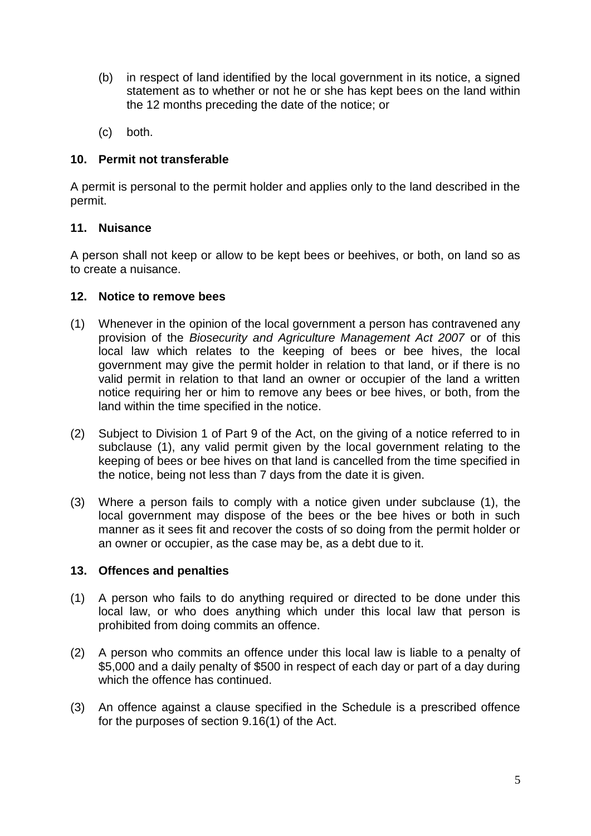- (b) in respect of land identified by the local government in its notice, a signed statement as to whether or not he or she has kept bees on the land within the 12 months preceding the date of the notice; or
- (c) both.

# <span id="page-6-0"></span>**10. Permit not transferable**

A permit is personal to the permit holder and applies only to the land described in the permit.

# <span id="page-6-1"></span>**11. Nuisance**

A person shall not keep or allow to be kept bees or beehives, or both, on land so as to create a nuisance.

# <span id="page-6-2"></span>**12. Notice to remove bees**

- (1) Whenever in the opinion of the local government a person has contravened any provision of the *Biosecurity and Agriculture Management Act 2007* or of this local law which relates to the keeping of bees or bee hives, the local government may give the permit holder in relation to that land, or if there is no valid permit in relation to that land an owner or occupier of the land a written notice requiring her or him to remove any bees or bee hives, or both, from the land within the time specified in the notice.
- (2) Subject to Division 1 of Part 9 of the Act, on the giving of a notice referred to in subclause (1), any valid permit given by the local government relating to the keeping of bees or bee hives on that land is cancelled from the time specified in the notice, being not less than 7 days from the date it is given.
- (3) Where a person fails to comply with a notice given under subclause (1), the local government may dispose of the bees or the bee hives or both in such manner as it sees fit and recover the costs of so doing from the permit holder or an owner or occupier, as the case may be, as a debt due to it.

# <span id="page-6-3"></span>**13. Offences and penalties**

- (1) A person who fails to do anything required or directed to be done under this local law, or who does anything which under this local law that person is prohibited from doing commits an offence.
- (2) A person who commits an offence under this local law is liable to a penalty of \$5,000 and a daily penalty of \$500 in respect of each day or part of a day during which the offence has continued.
- (3) An offence against a clause specified in the Schedule is a prescribed offence for the purposes of section 9.16(1) of the Act.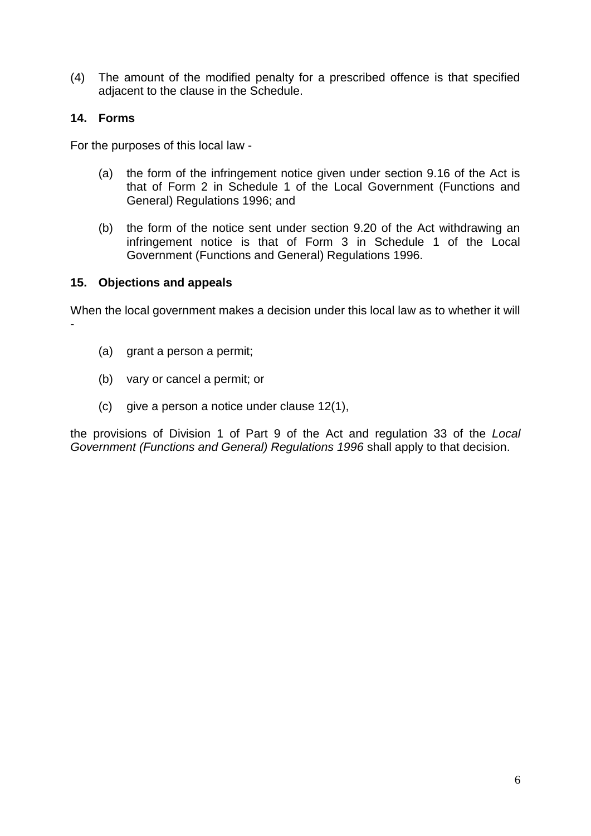(4) The amount of the modified penalty for a prescribed offence is that specified adjacent to the clause in the Schedule.

# <span id="page-7-0"></span>**14. Forms**

For the purposes of this local law -

- (a) the form of the infringement notice given under section 9.16 of the Act is that of Form 2 in Schedule 1 of the Local Government (Functions and General) Regulations 1996; and
- (b) the form of the notice sent under section 9.20 of the Act withdrawing an infringement notice is that of Form 3 in Schedule 1 of the Local Government (Functions and General) Regulations 1996.

#### <span id="page-7-1"></span>**15. Objections and appeals**

When the local government makes a decision under this local law as to whether it will -

- (a) grant a person a permit;
- (b) vary or cancel a permit; or
- (c) give a person a notice under clause 12(1),

the provisions of Division 1 of Part 9 of the Act and regulation 33 of the *Local Government (Functions and General) Regulations 1996* shall apply to that decision.